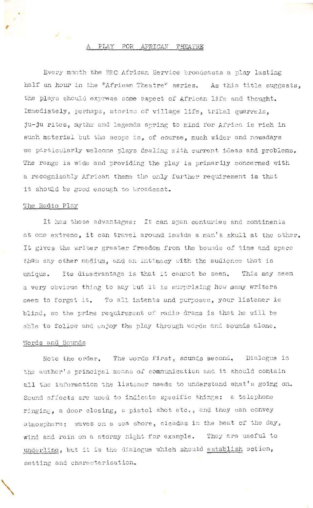### PLAY FOR AFRICAN THEATRE

Every month the BBC African Service broadcasts a play lasting half an hour in the "African Theatre" series. As this title suggests, the plays should express some aspect of African life and thought. Immediately, perhaps, stories of village life, tribal quarrels, ju-ju rites, myths and legends spring to mind for Africa is rich in such material but the scope is, of course, much wider and nowadays we particularly welcome plays dealing with current ideas and problems. The range is wide and providing the play is primarily concerned with a recognisably African theme the only further requirement is that it should be good enough to broadcast.

#### The Radio Play

 $\bullet$ 

It has these advantages: It can span centuries and continents at one extreme, it can travel around inside a man's skull at the other. It gives the writer greater freedom from the bounds of time and space than any other medium, and an intimacy with the audience that is unique. Its disadvantage is that it cannot be seen. This may seem a very obvious thing to say but it is surprising how many writers seem to forget it. To all intents and purposes, your listener is blind, so the prime requirement of radio drama is that he will be able to follow and enjoy the play through words and sounds alone.

## Words and Sounds

'\

Note the order. The words first, sounds second. Dialogue is the author's principal mecns of communication and it should contain all the information the listener needs to understand what's going on. Sound effects are used to indicate specific things: a telephone ringing, a door closing, a pistol shot etc., and they can convey atmosphere: waves on a sea shore, cicadas in the heat of the day, wind and rain on a stormy night for example. They are useful to underline, but it is the dialogue which should establish action, setting and characterisation.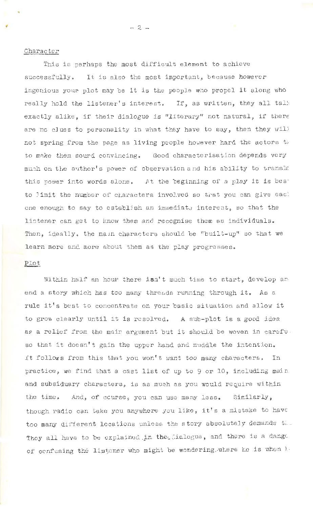### Character

This is perhaps the most difficult element to achieve successfully. It is also the most important, because however ingenious your plot may be it is the people who propel it along who really hold the listener's interest. If, as written, they all talk exactly alike, if their dialogue is "literary" not natural, if there are no clues to personality in what they have to say, then they will not spring from the page as living people however hard the actors to to make them sourd convincing. Good characterisation depends very much on the author's power of observation and his ability to transla this power into words alone. At the beginning of a play it is best to limit the number of characters involved so that you can give eacl one enough to say to establish an immediate interest, so that the listener can get to know them and recognise them as individuals. Then, ideally, the main characters should be "built-up" so that we learn more and more about them as the play progresses.

# Plot

Within half an hour there isn't much time to start, develop and end a story which has too many threads running through it. As a rule it's best to concentrate on your basic situation and allow it to grow clearly until it is resolved. A sub-plot is a good idea as a relief from the main argument but it should be woven in carefuso that it doesn't gain the upper hand and muddle the intention. It follows from this that you won't want too many characters. In practice, we find that a cast list of up to 9 or 10, including main and subsiduary characters, is as much as you would require within the time. And, of course, you can use many less. Similarly, though radio can take you anywhere you like, it's a mistake to have too many different locations unless the story absolutely demands ti-They all have to be explained in the Sialogue, and there is a dange of confusing the listener who might be wondering. where he is when let

 $-2 -$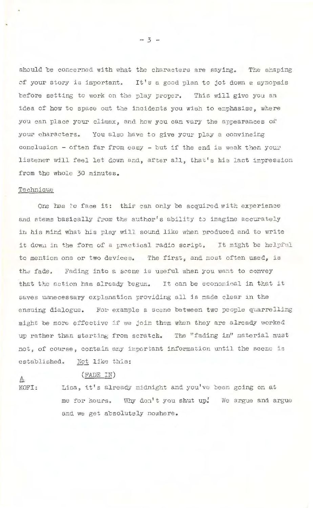should be concerned with what the characters are saying. The shaping of your story is important. It's a good plan to jot down a synopsis before setting to work on the play proper. This will give you an idea of how to space out the incidents you wish to emphasise , where you can place your climax, and how you can vary the appearances of your characters. You also have to give your play a convincing conclusion - often far from easy - but if the end is weak then your listener will feel let down and, after all, that's his lact impression from the whole 30 minutes.

## Technique

One has to face it: this can only be acquired with experience and stems basically from the author's ability to imagine accurately iri his mind what his play will sound like when produced and to write it down in the form of a practical radio script. It might be helpful to mention one or two devices. The first, and most often used, is the fade. Fading into a scene is useful when you want to convey that the action has already begun. It can be economical in that it saves unnecessary explanation providing all is made clear in the ensuing dialogue. For example a scene between two people quarrelling might be more effective if we join them when they are already worked up rather than starting from scratch. The "fading in" material must not, of course, contain any important information until the scene is established. Not like this:

# $\Delta$  (FADE IN)

KOFI: Lisa, it's already midnight and you've been going on at me for hours. Why don't you shut up. We argue and argue and we get absolutely nowhere.

·- 3 -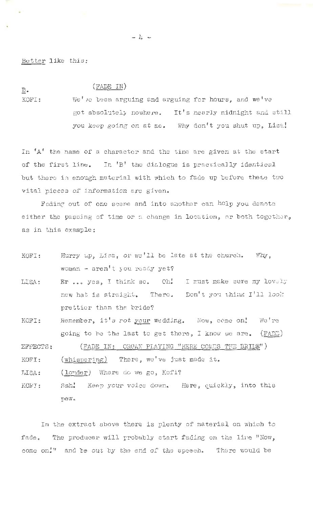Better like this:

# $(FADE IN)$

 $\mathbf{B}$ .

KOFI: We've been arguing and arguing for hours, and we've got absolutely nowhere. It's nearly midnight and still you keep going on at me. Why don't you shut up, Lisa!

In 'A' the name of a character and the time are given at the start of the first line. In 'B' the dialogue is practically identical but there is enough material with which to fade up before these two vital pieces of information are given.

Fading out of one scene and into another can help you denote either the passing of time or a change in location, or both together, as in this example:

- Hurry up, Lisa, or we'll be late at the church. Why, KOFI: woman - aren't you ready yet?
- Er... yes, I think so. Oh! I must make sure my lovely LISA: new hat is straight. There. Don't you think I'll look prettier than the bride?
- Remember, it's rot your wedding. Now, come on! KOFI: We're going to be the last to get there, I know we are.  $($  FADE)

(FADE IN: ORGAN PLAYING "HERE COMES THE BRIDE") EFFECTS:

(whispering) There, we've just made it. KOFI:

(louder) Where do we go, Kofi? **LISA:** 

Keep your voice down. Here, quickly, into this KOFT: Ssh! pew.

In the extract above there is plenty of material on which to fade. The producer will probably start fading on the line "Now, come on!" and be out by the end of the speech. There would be

 $\rightarrow$   $\downarrow$   $\rightarrow$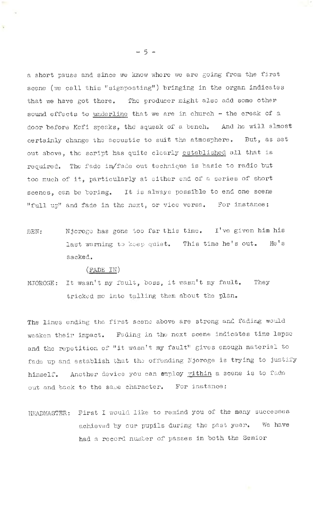a short pause and since we know where we are going from the first scene (we call this "signposting") bringing in the organ indicates that we have got there. The producer might also add some other sound effects to underline that *we* are in church - the creak of a door before Kofi speaks, the squeak of a bench. And he will almost certainly change the acoustic to suit the atmosphere. But, as set out above, the script has quite clearly established all that is required. The fade in/fade out technique is basic to radio but too much of it, particularly at either end of a series of short scenes, can be boring. It is always possible to end one scene "full up" and fade in the next, or vice versa. For instance:

BEN: Njoroge has gone too far this time. I've given him his last warning to keep quiet. This time he's out. He's sacked.

### (FADE IN)

NJOROGE: It wasn't my fault, boss, it wasn't my fault. They tricked me into telling them about the plan.

The lines ending the first scene above are strong and fading would weaken their impact. Fading in the next scene indicates time lapse and the repetition of "it wasn't my fault" gives enough material to fade up and establish that the offending Njoroge is trying to justify himself. Another device you can employ within a scene is to fade out and back to the same character. For instance:

HEADMASTER: First I would like to remind you of the many successes achieved by our pupils during the past year. We have had a record number of passes in both the Senior

- 5 -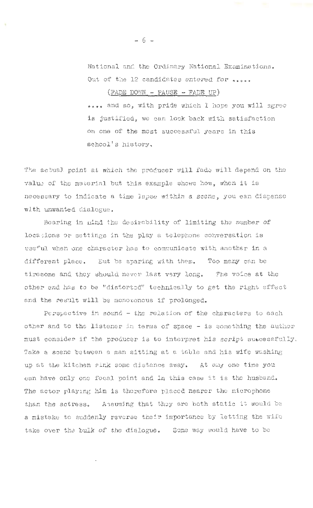National and the Ordinary National Examinations. Out of the 12 candidates entered for  $\alpha$ 

 $($  FADE DOWN - PAUSE - FADE UP)

**ooeo** and so, with pride which I hope you will agree is justified, **we** can look back with satisfaction on one of' the most successful years in this school's history.

The actual point at which the producer will fade will depend on the value of the material but this example shows how, when it is necessary to indicate a time lapse within a scene, you can dispense wlth unwanted dialogue .

Bearing in nind the desirability of limiting the number of locations or settings in the play a telephone conversation is useful when one character has to communicate with another in a different place. Eut be sparing with them. Too many can be tiresome and they should never last very long. The voice at the other end has to be "distorted" technically to get the right effect and the result will be monovonous if prolonged.

Persyective in sound - the relation of the characters to each other and to the listener in terms of space - is something the author must consider if the producer is to interpret his script sutcessfully. Take a scene between a man sitting at a table and his wife washing up at the kitchen sink some distance away. At any one time you can have only one focal point and in this case it is the husband. The actor playing him is therefore placed nearer the microphone than the actress. Assuming that they are both static it would be a mistake to suddenly reverse their importance by letting the wife take over the bulk of the dialogue. Some way would have to be

- 6 -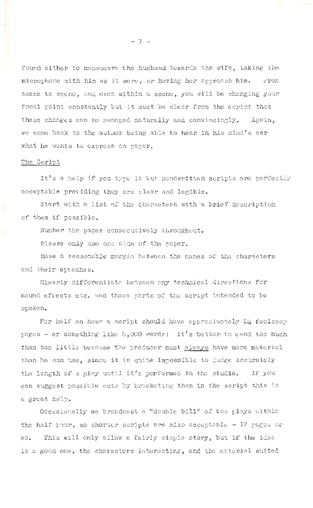found either to manouevre the husband towards the wife, taking the microphone with him as it were, or having her approach him.  $\Box$  rom scene to scene, and even within a scene, you will be changing your focal point constantly but it must be clear from the script that these changes can be managed naturally and convincingly, Again, we come back to the author being able to hear in his mind's ear what he wants to express on paper.

### The Script

It's a help if you type it but. handwritten scripts are perfectly acceptable providing they are clear and legible.

Start with a list of the characters with a brief description of them if possible.

Number the pages consecutively throughout.

Please only use one side of the paper.

Have a reasonable margin between the names of the characters and their speeches.

Clearly differentiate between any technical directions for sound effects etc. and those parts of the script intended to be spoken.

For half an hour a script should have approximately  $24$  foolscap pages - or something like  $4,000$  words: it's better to send too much than too little because the producer must always have more material than he can use, since it is quite impossible to judge accurately the length of a play until it's performed in the studio. If you can suggest possible cuts by bracketing them in the script this is a great help.

Occasionally we broadcast a "double bill" of two plays within the half hour, so shorter scripts are also acceptable  $-$  12 pages or so. This will only allow a fairly simple story, but if the idea is a good one, the characters interesting, and the material suited